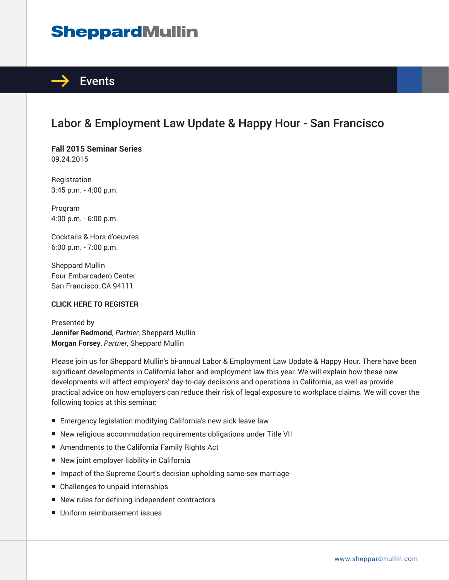# **SheppardMullin**



# Labor & Employment Law Update & Happy Hour - San Francisco

**Fall 2015 Seminar Series** 09.24.2015

Registration 3:45 p.m. - 4:00 p.m.

Program 4:00 p.m. - 6:00 p.m.

Cocktails & Hors d'oeuvres 6:00 p.m. - 7:00 p.m.

Sheppard Mullin Four Embarcadero Center San Francisco, CA 94111

#### **CLICK HERE TO REGISTER**

Presented by **Jennifer Redmond**, *Partner*, Sheppard Mullin **Morgan Forsey**, *Partner*, Sheppard Mullin

Please join us for Sheppard Mullin's bi-annual Labor & Employment Law Update & Happy Hour. There have been significant developments in California labor and employment law this year. We will explain how these new developments will affect employers' day-to-day decisions and operations in California, as well as provide practical advice on how employers can reduce their risk of legal exposure to workplace claims. We will cover the following topics at this seminar:

- Emergency legislation modifying California's new sick leave law
- New religious accommodation requirements obligations under Title VII
- Amendments to the California Family Rights Act
- New joint employer liability in California
- Impact of the Supreme Court's decision upholding same-sex marriage
- Challenges to unpaid internships
- New rules for defining independent contractors
- Uniform reimbursement issues